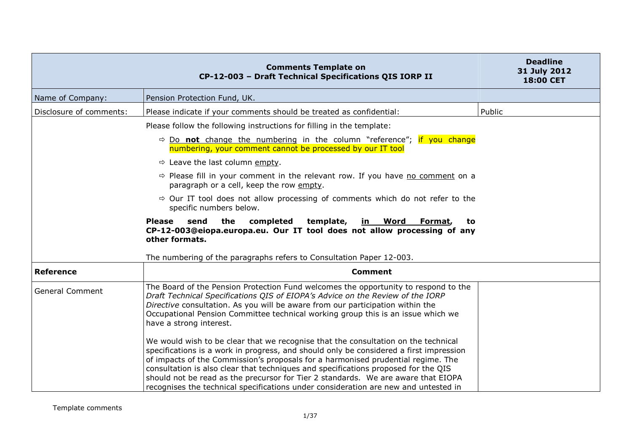|                         | <b>Comments Template on</b><br>CP-12-003 - Draft Technical Specifications QIS IORP II                                                                                                                                                                                                                                                                                                                                                                                                                                                                  | <b>Deadline</b><br>31 July 2012<br><b>18:00 CET</b> |
|-------------------------|--------------------------------------------------------------------------------------------------------------------------------------------------------------------------------------------------------------------------------------------------------------------------------------------------------------------------------------------------------------------------------------------------------------------------------------------------------------------------------------------------------------------------------------------------------|-----------------------------------------------------|
| Name of Company:        | Pension Protection Fund, UK.                                                                                                                                                                                                                                                                                                                                                                                                                                                                                                                           |                                                     |
| Disclosure of comments: | Please indicate if your comments should be treated as confidential:                                                                                                                                                                                                                                                                                                                                                                                                                                                                                    | Public                                              |
|                         | Please follow the following instructions for filling in the template:                                                                                                                                                                                                                                                                                                                                                                                                                                                                                  |                                                     |
|                         | $\Rightarrow$ Do not change the numbering in the column "reference"; if you change<br>numbering, your comment cannot be processed by our IT tool                                                                                                                                                                                                                                                                                                                                                                                                       |                                                     |
|                         | $\Rightarrow$ Leave the last column empty.                                                                                                                                                                                                                                                                                                                                                                                                                                                                                                             |                                                     |
|                         | $\Rightarrow$ Please fill in your comment in the relevant row. If you have no comment on a<br>paragraph or a cell, keep the row empty.                                                                                                                                                                                                                                                                                                                                                                                                                 |                                                     |
|                         | $\Rightarrow$ Our IT tool does not allow processing of comments which do not refer to the<br>specific numbers below.                                                                                                                                                                                                                                                                                                                                                                                                                                   |                                                     |
|                         | the<br>completed<br>template,<br><b>Please</b><br>send<br><u>in Word</u><br>Format,<br>to<br>CP-12-003@eiopa.europa.eu. Our IT tool does not allow processing of any<br>other formats.<br>The numbering of the paragraphs refers to Consultation Paper 12-003.                                                                                                                                                                                                                                                                                         |                                                     |
| <b>Reference</b>        | <b>Comment</b>                                                                                                                                                                                                                                                                                                                                                                                                                                                                                                                                         |                                                     |
| <b>General Comment</b>  | The Board of the Pension Protection Fund welcomes the opportunity to respond to the<br>Draft Technical Specifications QIS of EIOPA's Advice on the Review of the IORP<br>Directive consultation. As you will be aware from our participation within the<br>Occupational Pension Committee technical working group this is an issue which we<br>have a strong interest.<br>We would wish to be clear that we recognise that the consultation on the technical<br>specifications is a work in progress, and should only be considered a first impression |                                                     |
|                         | of impacts of the Commission's proposals for a harmonised prudential regime. The<br>consultation is also clear that techniques and specifications proposed for the QIS<br>should not be read as the precursor for Tier 2 standards. We are aware that EIOPA<br>recognises the technical specifications under consideration are new and untested in                                                                                                                                                                                                     |                                                     |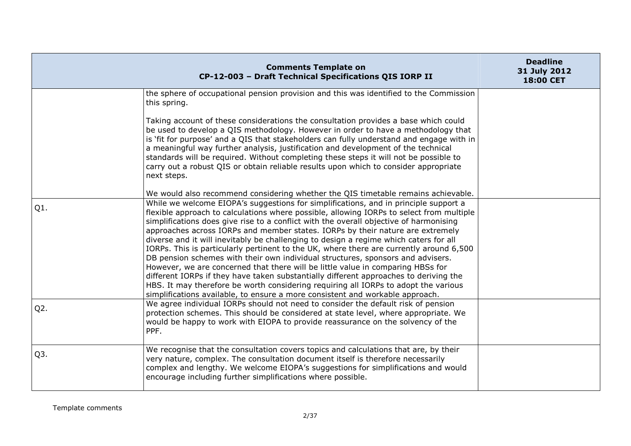|                  | <b>Comments Template on</b><br>CP-12-003 - Draft Technical Specifications QIS IORP II                                                                                                                                                                                                                                                                                                                                                                                                                                                                                                                                                                                                                                                                                                                                                                                                                                                                                                   | <b>Deadline</b><br>31 July 2012<br>18:00 CET |
|------------------|-----------------------------------------------------------------------------------------------------------------------------------------------------------------------------------------------------------------------------------------------------------------------------------------------------------------------------------------------------------------------------------------------------------------------------------------------------------------------------------------------------------------------------------------------------------------------------------------------------------------------------------------------------------------------------------------------------------------------------------------------------------------------------------------------------------------------------------------------------------------------------------------------------------------------------------------------------------------------------------------|----------------------------------------------|
|                  | the sphere of occupational pension provision and this was identified to the Commission<br>this spring.                                                                                                                                                                                                                                                                                                                                                                                                                                                                                                                                                                                                                                                                                                                                                                                                                                                                                  |                                              |
|                  | Taking account of these considerations the consultation provides a base which could<br>be used to develop a QIS methodology. However in order to have a methodology that<br>is 'fit for purpose' and a QIS that stakeholders can fully understand and engage with in<br>a meaningful way further analysis, justification and development of the technical<br>standards will be required. Without completing these steps it will not be possible to<br>carry out a robust QIS or obtain reliable results upon which to consider appropriate<br>next steps.                                                                                                                                                                                                                                                                                                                                                                                                                               |                                              |
|                  | We would also recommend considering whether the QIS timetable remains achievable.                                                                                                                                                                                                                                                                                                                                                                                                                                                                                                                                                                                                                                                                                                                                                                                                                                                                                                       |                                              |
| $Q1$ .           | While we welcome EIOPA's suggestions for simplifications, and in principle support a<br>flexible approach to calculations where possible, allowing IORPs to select from multiple<br>simplifications does give rise to a conflict with the overall objective of harmonising<br>approaches across IORPs and member states. IORPs by their nature are extremely<br>diverse and it will inevitably be challenging to design a regime which caters for all<br>IORPs. This is particularly pertinent to the UK, where there are currently around 6,500<br>DB pension schemes with their own individual structures, sponsors and advisers.<br>However, we are concerned that there will be little value in comparing HBSs for<br>different IORPs if they have taken substantially different approaches to deriving the<br>HBS. It may therefore be worth considering requiring all IORPs to adopt the various<br>simplifications available, to ensure a more consistent and workable approach. |                                              |
| $Q2$ .           | We agree individual IORPs should not need to consider the default risk of pension<br>protection schemes. This should be considered at state level, where appropriate. We<br>would be happy to work with EIOPA to provide reassurance on the solvency of the<br>PPF.                                                                                                                                                                                                                                                                                                                                                                                                                                                                                                                                                                                                                                                                                                                     |                                              |
| Q <sub>3</sub> . | We recognise that the consultation covers topics and calculations that are, by their<br>very nature, complex. The consultation document itself is therefore necessarily<br>complex and lengthy. We welcome EIOPA's suggestions for simplifications and would<br>encourage including further simplifications where possible.                                                                                                                                                                                                                                                                                                                                                                                                                                                                                                                                                                                                                                                             |                                              |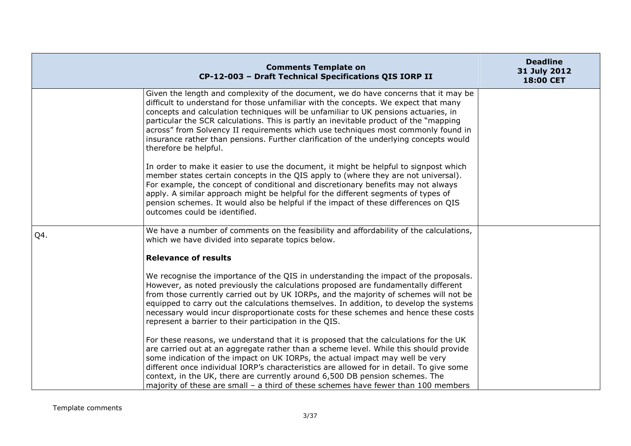|     | <b>Comments Template on</b><br>CP-12-003 - Draft Technical Specifications QIS IORP II                                                                                                                                                                                                                                                                                                                                                                                                                                                                              | <b>Deadline</b><br>31 July 2012<br>18:00 CET |
|-----|--------------------------------------------------------------------------------------------------------------------------------------------------------------------------------------------------------------------------------------------------------------------------------------------------------------------------------------------------------------------------------------------------------------------------------------------------------------------------------------------------------------------------------------------------------------------|----------------------------------------------|
|     | Given the length and complexity of the document, we do have concerns that it may be<br>difficult to understand for those unfamiliar with the concepts. We expect that many<br>concepts and calculation techniques will be unfamiliar to UK pensions actuaries, in<br>particular the SCR calculations. This is partly an inevitable product of the "mapping<br>across" from Solvency II requirements which use techniques most commonly found in<br>insurance rather than pensions. Further clarification of the underlying concepts would<br>therefore be helpful. |                                              |
|     | In order to make it easier to use the document, it might be helpful to signpost which<br>member states certain concepts in the QIS apply to (where they are not universal).<br>For example, the concept of conditional and discretionary benefits may not always<br>apply. A similar approach might be helpful for the different segments of types of<br>pension schemes. It would also be helpful if the impact of these differences on QIS<br>outcomes could be identified.                                                                                      |                                              |
| Q4. | We have a number of comments on the feasibility and affordability of the calculations,<br>which we have divided into separate topics below.                                                                                                                                                                                                                                                                                                                                                                                                                        |                                              |
|     | <b>Relevance of results</b>                                                                                                                                                                                                                                                                                                                                                                                                                                                                                                                                        |                                              |
|     | We recognise the importance of the QIS in understanding the impact of the proposals.<br>However, as noted previously the calculations proposed are fundamentally different<br>from those currently carried out by UK IORPs, and the majority of schemes will not be<br>equipped to carry out the calculations themselves. In addition, to develop the systems<br>necessary would incur disproportionate costs for these schemes and hence these costs<br>represent a barrier to their participation in the QIS.                                                    |                                              |
|     | For these reasons, we understand that it is proposed that the calculations for the UK<br>are carried out at an aggregate rather than a scheme level. While this should provide<br>some indication of the impact on UK IORPs, the actual impact may well be very<br>different once individual IORP's characteristics are allowed for in detail. To give some<br>context, in the UK, there are currently around 6,500 DB pension schemes. The<br>majority of these are small – a third of these schemes have fewer than 100 members                                  |                                              |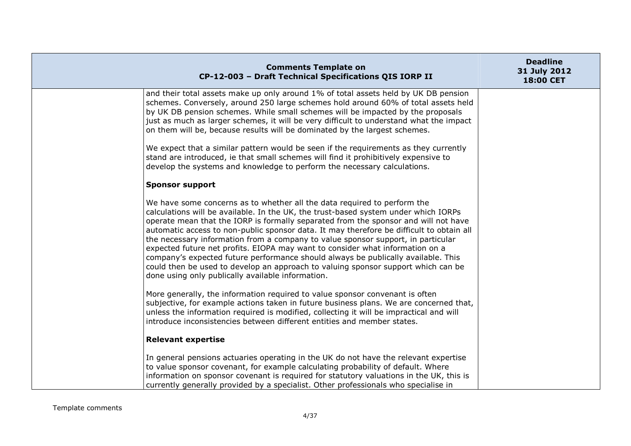| <b>Comments Template on</b><br>CP-12-003 - Draft Technical Specifications QIS IORP II                                                                                                                                                                                                                                                                                                                                                                                                                                                                                                                                                                                                                                                                  | <b>Deadline</b><br>31 July 2012<br>18:00 CET |
|--------------------------------------------------------------------------------------------------------------------------------------------------------------------------------------------------------------------------------------------------------------------------------------------------------------------------------------------------------------------------------------------------------------------------------------------------------------------------------------------------------------------------------------------------------------------------------------------------------------------------------------------------------------------------------------------------------------------------------------------------------|----------------------------------------------|
| and their total assets make up only around 1% of total assets held by UK DB pension<br>schemes. Conversely, around 250 large schemes hold around 60% of total assets held<br>by UK DB pension schemes. While small schemes will be impacted by the proposals<br>just as much as larger schemes, it will be very difficult to understand what the impact<br>on them will be, because results will be dominated by the largest schemes.                                                                                                                                                                                                                                                                                                                  |                                              |
| We expect that a similar pattern would be seen if the requirements as they currently<br>stand are introduced, ie that small schemes will find it prohibitively expensive to<br>develop the systems and knowledge to perform the necessary calculations.                                                                                                                                                                                                                                                                                                                                                                                                                                                                                                |                                              |
| <b>Sponsor support</b>                                                                                                                                                                                                                                                                                                                                                                                                                                                                                                                                                                                                                                                                                                                                 |                                              |
| We have some concerns as to whether all the data required to perform the<br>calculations will be available. In the UK, the trust-based system under which IORPs<br>operate mean that the IORP is formally separated from the sponsor and will not have<br>automatic access to non-public sponsor data. It may therefore be difficult to obtain all<br>the necessary information from a company to value sponsor support, in particular<br>expected future net profits. EIOPA may want to consider what information on a<br>company's expected future performance should always be publically available. This<br>could then be used to develop an approach to valuing sponsor support which can be<br>done using only publically available information. |                                              |
| More generally, the information required to value sponsor convenant is often<br>subjective, for example actions taken in future business plans. We are concerned that,<br>unless the information required is modified, collecting it will be impractical and will<br>introduce inconsistencies between different entities and member states.                                                                                                                                                                                                                                                                                                                                                                                                           |                                              |
| <b>Relevant expertise</b>                                                                                                                                                                                                                                                                                                                                                                                                                                                                                                                                                                                                                                                                                                                              |                                              |
| In general pensions actuaries operating in the UK do not have the relevant expertise<br>to value sponsor covenant, for example calculating probability of default. Where<br>information on sponsor covenant is required for statutory valuations in the UK, this is<br>currently generally provided by a specialist. Other professionals who specialise in                                                                                                                                                                                                                                                                                                                                                                                             |                                              |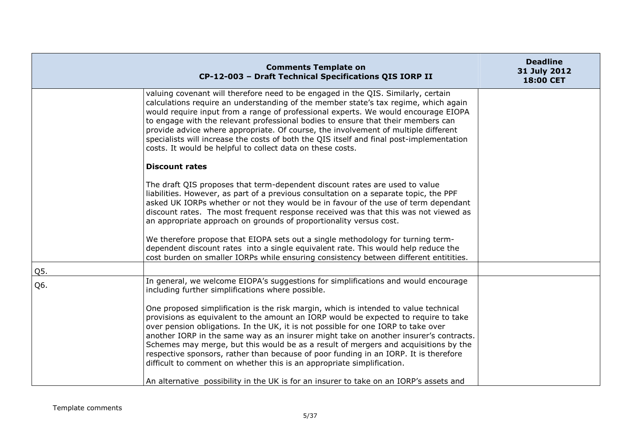|     | <b>Comments Template on</b><br>CP-12-003 - Draft Technical Specifications QIS IORP II                                                                                                                                                                                                                                                                                                                                                                                                                                                                                                                              | <b>Deadline</b><br>31 July 2012<br>18:00 CET |
|-----|--------------------------------------------------------------------------------------------------------------------------------------------------------------------------------------------------------------------------------------------------------------------------------------------------------------------------------------------------------------------------------------------------------------------------------------------------------------------------------------------------------------------------------------------------------------------------------------------------------------------|----------------------------------------------|
|     | valuing covenant will therefore need to be engaged in the QIS. Similarly, certain<br>calculations require an understanding of the member state's tax regime, which again<br>would require input from a range of professional experts. We would encourage EIOPA<br>to engage with the relevant professional bodies to ensure that their members can<br>provide advice where appropriate. Of course, the involvement of multiple different<br>specialists will increase the costs of both the QIS itself and final post-implementation<br>costs. It would be helpful to collect data on these costs.                 |                                              |
|     | <b>Discount rates</b>                                                                                                                                                                                                                                                                                                                                                                                                                                                                                                                                                                                              |                                              |
|     | The draft QIS proposes that term-dependent discount rates are used to value<br>liabilities. However, as part of a previous consultation on a separate topic, the PPF<br>asked UK IORPs whether or not they would be in favour of the use of term dependant<br>discount rates. The most frequent response received was that this was not viewed as<br>an appropriate approach on grounds of proportionality versus cost.                                                                                                                                                                                            |                                              |
|     | We therefore propose that EIOPA sets out a single methodology for turning term-<br>dependent discount rates into a single equivalent rate. This would help reduce the<br>cost burden on smaller IORPs while ensuring consistency between different entitities.                                                                                                                                                                                                                                                                                                                                                     |                                              |
| Q5. |                                                                                                                                                                                                                                                                                                                                                                                                                                                                                                                                                                                                                    |                                              |
| Q6. | In general, we welcome EIOPA's suggestions for simplifications and would encourage<br>including further simplifications where possible.                                                                                                                                                                                                                                                                                                                                                                                                                                                                            |                                              |
|     | One proposed simplification is the risk margin, which is intended to value technical<br>provisions as equivalent to the amount an IORP would be expected to require to take<br>over pension obligations. In the UK, it is not possible for one IORP to take over<br>another IORP in the same way as an insurer might take on another insurer's contracts.<br>Schemes may merge, but this would be as a result of mergers and acquisitions by the<br>respective sponsors, rather than because of poor funding in an IORP. It is therefore<br>difficult to comment on whether this is an appropriate simplification. |                                              |
|     | An alternative possibility in the UK is for an insurer to take on an IORP's assets and                                                                                                                                                                                                                                                                                                                                                                                                                                                                                                                             |                                              |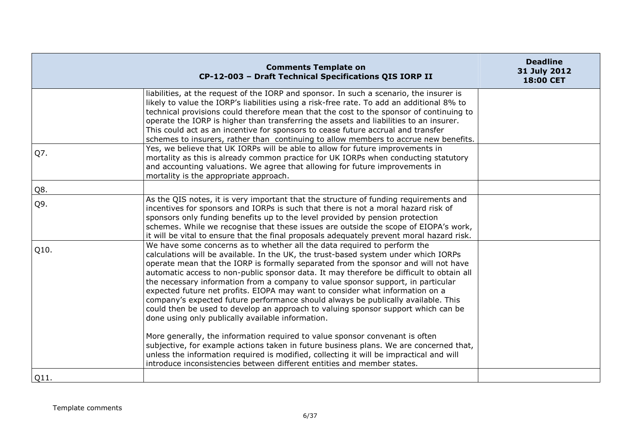|      | <b>Comments Template on</b><br>CP-12-003 - Draft Technical Specifications QIS IORP II                                                                                                                                                                                                                                                                                                                                                                                                                                                                                                                                                                                                                                                                  | <b>Deadline</b><br>31 July 2012<br>18:00 CET |
|------|--------------------------------------------------------------------------------------------------------------------------------------------------------------------------------------------------------------------------------------------------------------------------------------------------------------------------------------------------------------------------------------------------------------------------------------------------------------------------------------------------------------------------------------------------------------------------------------------------------------------------------------------------------------------------------------------------------------------------------------------------------|----------------------------------------------|
|      | liabilities, at the request of the IORP and sponsor. In such a scenario, the insurer is<br>likely to value the IORP's liabilities using a risk-free rate. To add an additional 8% to<br>technical provisions could therefore mean that the cost to the sponsor of continuing to<br>operate the IORP is higher than transferring the assets and liabilities to an insurer.<br>This could act as an incentive for sponsors to cease future accrual and transfer<br>schemes to insurers, rather than continuing to allow members to accrue new benefits.                                                                                                                                                                                                  |                                              |
| Q7.  | Yes, we believe that UK IORPs will be able to allow for future improvements in<br>mortality as this is already common practice for UK IORPs when conducting statutory<br>and accounting valuations. We agree that allowing for future improvements in<br>mortality is the appropriate approach.                                                                                                                                                                                                                                                                                                                                                                                                                                                        |                                              |
| Q8.  |                                                                                                                                                                                                                                                                                                                                                                                                                                                                                                                                                                                                                                                                                                                                                        |                                              |
| Q9.  | As the QIS notes, it is very important that the structure of funding requirements and<br>incentives for sponsors and IORPs is such that there is not a moral hazard risk of<br>sponsors only funding benefits up to the level provided by pension protection<br>schemes. While we recognise that these issues are outside the scope of EIOPA's work,<br>it will be vital to ensure that the final proposals adequately prevent moral hazard risk.                                                                                                                                                                                                                                                                                                      |                                              |
| Q10. | We have some concerns as to whether all the data required to perform the<br>calculations will be available. In the UK, the trust-based system under which IORPs<br>operate mean that the IORP is formally separated from the sponsor and will not have<br>automatic access to non-public sponsor data. It may therefore be difficult to obtain all<br>the necessary information from a company to value sponsor support, in particular<br>expected future net profits. EIOPA may want to consider what information on a<br>company's expected future performance should always be publically available. This<br>could then be used to develop an approach to valuing sponsor support which can be<br>done using only publically available information. |                                              |
|      | More generally, the information required to value sponsor convenant is often<br>subjective, for example actions taken in future business plans. We are concerned that,<br>unless the information required is modified, collecting it will be impractical and will<br>introduce inconsistencies between different entities and member states.                                                                                                                                                                                                                                                                                                                                                                                                           |                                              |
| Q11. |                                                                                                                                                                                                                                                                                                                                                                                                                                                                                                                                                                                                                                                                                                                                                        |                                              |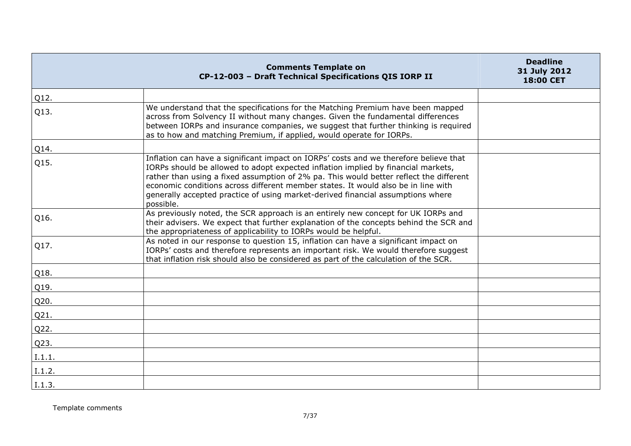|        | <b>Comments Template on</b><br>CP-12-003 - Draft Technical Specifications QIS IORP II                                                                                                                                                                                                                                                                                                                                                                     | <b>Deadline</b><br>31 July 2012<br>18:00 CET |
|--------|-----------------------------------------------------------------------------------------------------------------------------------------------------------------------------------------------------------------------------------------------------------------------------------------------------------------------------------------------------------------------------------------------------------------------------------------------------------|----------------------------------------------|
| Q12.   |                                                                                                                                                                                                                                                                                                                                                                                                                                                           |                                              |
| Q13.   | We understand that the specifications for the Matching Premium have been mapped<br>across from Solvency II without many changes. Given the fundamental differences<br>between IORPs and insurance companies, we suggest that further thinking is required<br>as to how and matching Premium, if applied, would operate for IORPs.                                                                                                                         |                                              |
| Q14.   |                                                                                                                                                                                                                                                                                                                                                                                                                                                           |                                              |
| Q15.   | Inflation can have a significant impact on IORPs' costs and we therefore believe that<br>IORPs should be allowed to adopt expected inflation implied by financial markets,<br>rather than using a fixed assumption of 2% pa. This would better reflect the different<br>economic conditions across different member states. It would also be in line with<br>generally accepted practice of using market-derived financial assumptions where<br>possible. |                                              |
| Q16.   | As previously noted, the SCR approach is an entirely new concept for UK IORPs and<br>their advisers. We expect that further explanation of the concepts behind the SCR and<br>the appropriateness of applicability to IORPs would be helpful.                                                                                                                                                                                                             |                                              |
| Q17.   | As noted in our response to question 15, inflation can have a significant impact on<br>IORPs' costs and therefore represents an important risk. We would therefore suggest<br>that inflation risk should also be considered as part of the calculation of the SCR.                                                                                                                                                                                        |                                              |
| Q18.   |                                                                                                                                                                                                                                                                                                                                                                                                                                                           |                                              |
| Q19.   |                                                                                                                                                                                                                                                                                                                                                                                                                                                           |                                              |
| Q20.   |                                                                                                                                                                                                                                                                                                                                                                                                                                                           |                                              |
| Q21.   |                                                                                                                                                                                                                                                                                                                                                                                                                                                           |                                              |
| Q22.   |                                                                                                                                                                                                                                                                                                                                                                                                                                                           |                                              |
| Q23.   |                                                                                                                                                                                                                                                                                                                                                                                                                                                           |                                              |
| I.1.1. |                                                                                                                                                                                                                                                                                                                                                                                                                                                           |                                              |
| I.1.2. |                                                                                                                                                                                                                                                                                                                                                                                                                                                           |                                              |
| I.1.3. |                                                                                                                                                                                                                                                                                                                                                                                                                                                           |                                              |

Template comments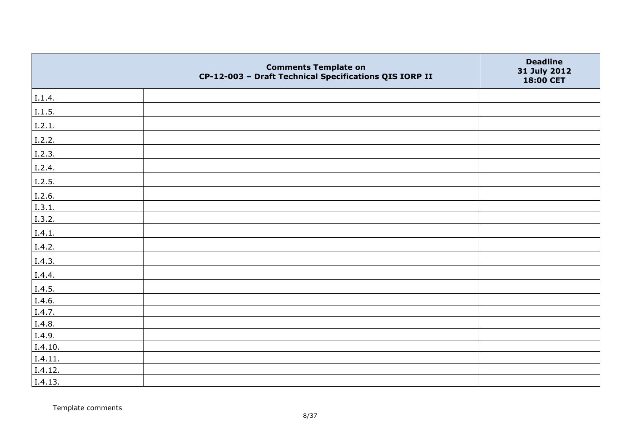|         | <b>Comments Template on</b><br>CP-12-003 - Draft Technical Specifications QIS IORP II | <b>Deadline</b><br>31 July 2012<br>18:00 CET |
|---------|---------------------------------------------------------------------------------------|----------------------------------------------|
| I.1.4.  |                                                                                       |                                              |
| 1.1.5.  |                                                                                       |                                              |
| I.2.1.  |                                                                                       |                                              |
| I.2.2.  |                                                                                       |                                              |
| I.2.3.  |                                                                                       |                                              |
| I.2.4.  |                                                                                       |                                              |
| I.2.5.  |                                                                                       |                                              |
| I.2.6.  |                                                                                       |                                              |
| I.3.1.  |                                                                                       |                                              |
| I.3.2.  |                                                                                       |                                              |
| I.4.1.  |                                                                                       |                                              |
| I.4.2.  |                                                                                       |                                              |
| I.4.3.  |                                                                                       |                                              |
| I.4.4.  |                                                                                       |                                              |
| I.4.5.  |                                                                                       |                                              |
| I.4.6.  |                                                                                       |                                              |
| I.4.7.  |                                                                                       |                                              |
| I.4.8.  |                                                                                       |                                              |
| I.4.9.  |                                                                                       |                                              |
| I.4.10. |                                                                                       |                                              |
| I.4.11. |                                                                                       |                                              |
| I.4.12. |                                                                                       |                                              |
| I.4.13. |                                                                                       |                                              |

Template comments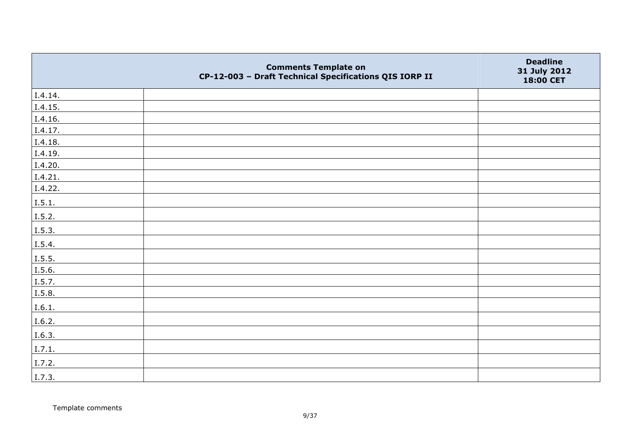|         | <b>Comments Template on</b><br>CP-12-003 - Draft Technical Specifications QIS IORP II | <b>Deadline</b><br>31 July 2012<br>18:00 CET |
|---------|---------------------------------------------------------------------------------------|----------------------------------------------|
| I.4.14. |                                                                                       |                                              |
| I.4.15. |                                                                                       |                                              |
| I.4.16. |                                                                                       |                                              |
| I.4.17. |                                                                                       |                                              |
| I.4.18. |                                                                                       |                                              |
| I.4.19. |                                                                                       |                                              |
| I.4.20. |                                                                                       |                                              |
| I.4.21. |                                                                                       |                                              |
| I.4.22. |                                                                                       |                                              |
| I.5.1.  |                                                                                       |                                              |
| I.5.2.  |                                                                                       |                                              |
| I.5.3.  |                                                                                       |                                              |
| I.5.4.  |                                                                                       |                                              |
| 1.5.5.  |                                                                                       |                                              |
| I.5.6.  |                                                                                       |                                              |
| I.5.7.  |                                                                                       |                                              |
| I.5.8.  |                                                                                       |                                              |
| I.6.1.  |                                                                                       |                                              |
| I.6.2.  |                                                                                       |                                              |
| I.6.3.  |                                                                                       |                                              |
| I.7.1.  |                                                                                       |                                              |
| I.7.2.  |                                                                                       |                                              |
| I.7.3.  |                                                                                       |                                              |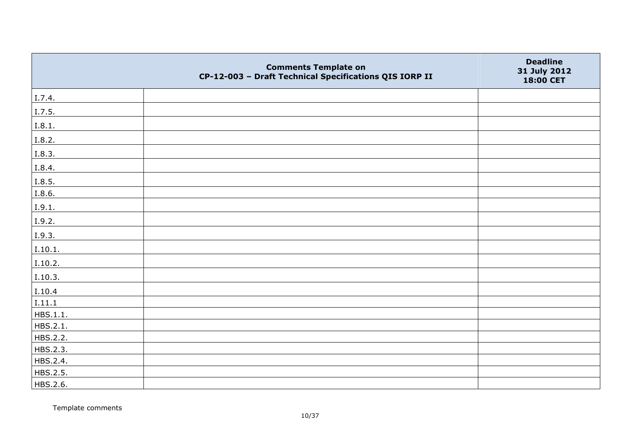|          | <b>Comments Template on</b><br>CP-12-003 - Draft Technical Specifications QIS IORP II | <b>Deadline</b><br>31 July 2012<br>18:00 CET |
|----------|---------------------------------------------------------------------------------------|----------------------------------------------|
| I.7.4.   |                                                                                       |                                              |
| I.7.5.   |                                                                                       |                                              |
| I.8.1.   |                                                                                       |                                              |
| I.8.2.   |                                                                                       |                                              |
| I.8.3.   |                                                                                       |                                              |
| I.8.4.   |                                                                                       |                                              |
| I.8.5.   |                                                                                       |                                              |
| I.8.6.   |                                                                                       |                                              |
| I.9.1.   |                                                                                       |                                              |
| I.9.2.   |                                                                                       |                                              |
| I.9.3.   |                                                                                       |                                              |
| I.10.1.  |                                                                                       |                                              |
| I.10.2.  |                                                                                       |                                              |
| I.10.3.  |                                                                                       |                                              |
| I.10.4   |                                                                                       |                                              |
| I.11.1   |                                                                                       |                                              |
| HBS.1.1. |                                                                                       |                                              |
| HBS.2.1. |                                                                                       |                                              |
| HBS.2.2. |                                                                                       |                                              |
| HBS.2.3. |                                                                                       |                                              |
| HBS.2.4. |                                                                                       |                                              |
| HBS.2.5. |                                                                                       |                                              |
| HBS.2.6. |                                                                                       |                                              |

Template comments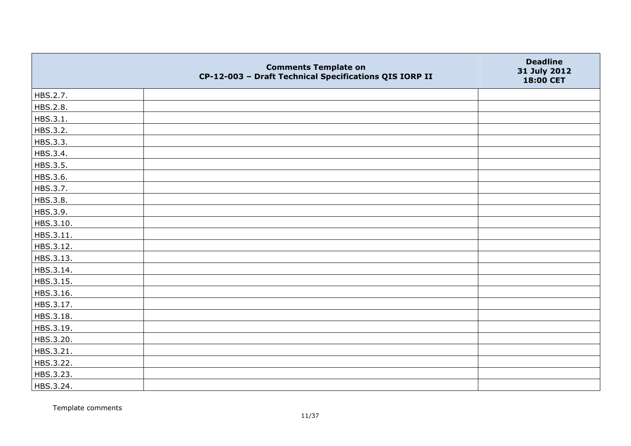|           | <b>Comments Template on</b><br>CP-12-003 - Draft Technical Specifications QIS IORP II | <b>Deadline</b><br>31 July 2012<br>18:00 CET |
|-----------|---------------------------------------------------------------------------------------|----------------------------------------------|
| HBS.2.7.  |                                                                                       |                                              |
| HBS.2.8.  |                                                                                       |                                              |
| HBS.3.1.  |                                                                                       |                                              |
| HBS.3.2.  |                                                                                       |                                              |
| HBS.3.3.  |                                                                                       |                                              |
| HBS.3.4.  |                                                                                       |                                              |
| HBS.3.5.  |                                                                                       |                                              |
| HBS.3.6.  |                                                                                       |                                              |
| HBS.3.7.  |                                                                                       |                                              |
| HBS.3.8.  |                                                                                       |                                              |
| HBS.3.9.  |                                                                                       |                                              |
| HBS.3.10. |                                                                                       |                                              |
| HBS.3.11. |                                                                                       |                                              |
| HBS.3.12. |                                                                                       |                                              |
| HBS.3.13. |                                                                                       |                                              |
| HBS.3.14. |                                                                                       |                                              |
| HBS.3.15. |                                                                                       |                                              |
| HBS.3.16. |                                                                                       |                                              |
| HBS.3.17. |                                                                                       |                                              |
| HBS.3.18. |                                                                                       |                                              |
| HBS.3.19. |                                                                                       |                                              |
| HBS.3.20. |                                                                                       |                                              |
| HBS.3.21. |                                                                                       |                                              |
| HBS.3.22. |                                                                                       |                                              |
| HBS.3.23. |                                                                                       |                                              |
| HBS.3.24. |                                                                                       |                                              |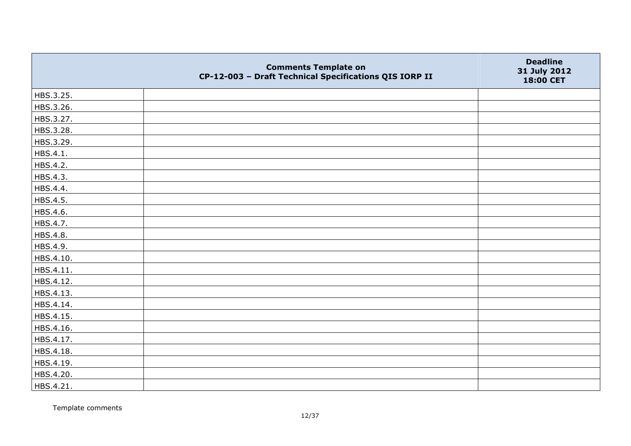|           | <b>Comments Template on</b><br>CP-12-003 - Draft Technical Specifications QIS IORP II | <b>Deadline</b><br>31 July 2012<br>18:00 CET |
|-----------|---------------------------------------------------------------------------------------|----------------------------------------------|
| HBS.3.25. |                                                                                       |                                              |
| HBS.3.26. |                                                                                       |                                              |
| HBS.3.27. |                                                                                       |                                              |
| HBS.3.28. |                                                                                       |                                              |
| HBS.3.29. |                                                                                       |                                              |
| HBS.4.1.  |                                                                                       |                                              |
| HBS.4.2.  |                                                                                       |                                              |
| HBS.4.3.  |                                                                                       |                                              |
| HBS.4.4.  |                                                                                       |                                              |
| HBS.4.5.  |                                                                                       |                                              |
| HBS.4.6.  |                                                                                       |                                              |
| HBS.4.7.  |                                                                                       |                                              |
| HBS.4.8.  |                                                                                       |                                              |
| HBS.4.9.  |                                                                                       |                                              |
| HBS.4.10. |                                                                                       |                                              |
| HBS.4.11. |                                                                                       |                                              |
| HBS.4.12. |                                                                                       |                                              |
| HBS.4.13. |                                                                                       |                                              |
| HBS.4.14. |                                                                                       |                                              |
| HBS.4.15. |                                                                                       |                                              |
| HBS.4.16. |                                                                                       |                                              |
| HBS.4.17. |                                                                                       |                                              |
| HBS.4.18. |                                                                                       |                                              |
| HBS.4.19. |                                                                                       |                                              |
| HBS.4.20. |                                                                                       |                                              |
| HBS.4.21. |                                                                                       |                                              |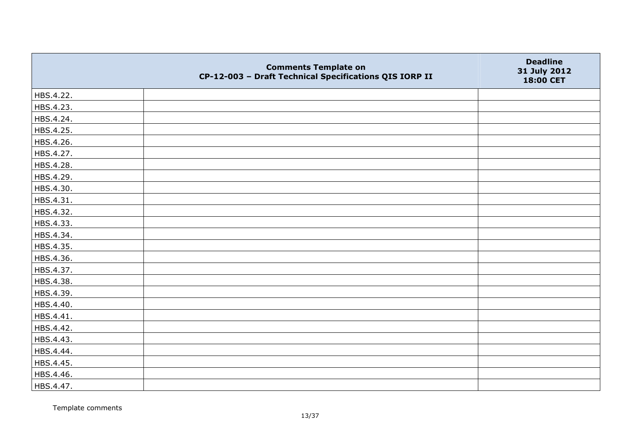|           | <b>Comments Template on</b><br>CP-12-003 - Draft Technical Specifications QIS IORP II | <b>Deadline</b><br>31 July 2012<br>18:00 CET |
|-----------|---------------------------------------------------------------------------------------|----------------------------------------------|
| HBS.4.22. |                                                                                       |                                              |
| HBS.4.23. |                                                                                       |                                              |
| HBS.4.24. |                                                                                       |                                              |
| HBS.4.25. |                                                                                       |                                              |
| HBS.4.26. |                                                                                       |                                              |
| HBS.4.27. |                                                                                       |                                              |
| HBS.4.28. |                                                                                       |                                              |
| HBS.4.29. |                                                                                       |                                              |
| HBS.4.30. |                                                                                       |                                              |
| HBS.4.31. |                                                                                       |                                              |
| HBS.4.32. |                                                                                       |                                              |
| HBS.4.33. |                                                                                       |                                              |
| HBS.4.34. |                                                                                       |                                              |
| HBS.4.35. |                                                                                       |                                              |
| HBS.4.36. |                                                                                       |                                              |
| HBS.4.37. |                                                                                       |                                              |
| HBS.4.38. |                                                                                       |                                              |
| HBS.4.39. |                                                                                       |                                              |
| HBS.4.40. |                                                                                       |                                              |
| HBS.4.41. |                                                                                       |                                              |
| HBS.4.42. |                                                                                       |                                              |
| HBS.4.43. |                                                                                       |                                              |
| HBS.4.44. |                                                                                       |                                              |
| HBS.4.45. |                                                                                       |                                              |
| HBS.4.46. |                                                                                       |                                              |
| HBS.4.47. |                                                                                       |                                              |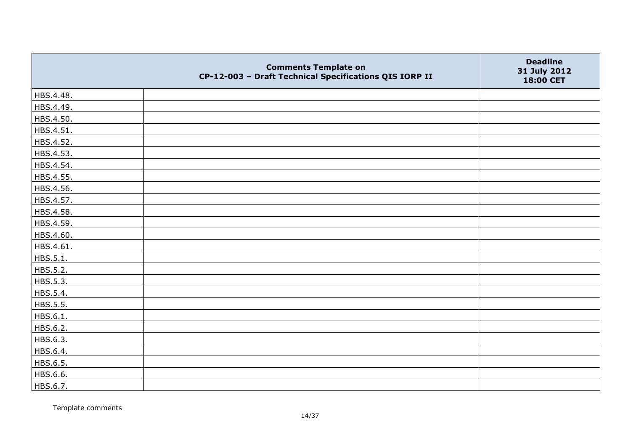|           | <b>Comments Template on</b><br>CP-12-003 - Draft Technical Specifications QIS IORP II | <b>Deadline</b><br>31 July 2012<br>18:00 CET |
|-----------|---------------------------------------------------------------------------------------|----------------------------------------------|
| HBS.4.48. |                                                                                       |                                              |
| HBS.4.49. |                                                                                       |                                              |
| HBS.4.50. |                                                                                       |                                              |
| HBS.4.51. |                                                                                       |                                              |
| HBS.4.52. |                                                                                       |                                              |
| HBS.4.53. |                                                                                       |                                              |
| HBS.4.54. |                                                                                       |                                              |
| HBS.4.55. |                                                                                       |                                              |
| HBS.4.56. |                                                                                       |                                              |
| HBS.4.57. |                                                                                       |                                              |
| HBS.4.58. |                                                                                       |                                              |
| HBS.4.59. |                                                                                       |                                              |
| HBS.4.60. |                                                                                       |                                              |
| HBS.4.61. |                                                                                       |                                              |
| HBS.5.1.  |                                                                                       |                                              |
| HBS.5.2.  |                                                                                       |                                              |
| HBS.5.3.  |                                                                                       |                                              |
| HBS.5.4.  |                                                                                       |                                              |
| HBS.5.5.  |                                                                                       |                                              |
| HBS.6.1.  |                                                                                       |                                              |
| HBS.6.2.  |                                                                                       |                                              |
| HBS.6.3.  |                                                                                       |                                              |
| HBS.6.4.  |                                                                                       |                                              |
| HBS.6.5.  |                                                                                       |                                              |
| HBS.6.6.  |                                                                                       |                                              |
| HBS.6.7.  |                                                                                       |                                              |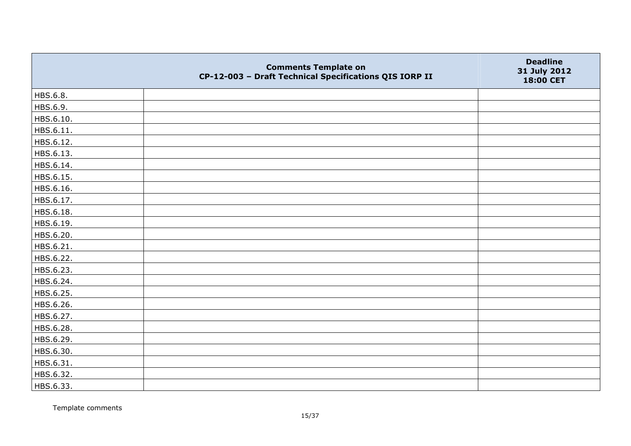|           | <b>Comments Template on</b><br>CP-12-003 - Draft Technical Specifications QIS IORP II | <b>Deadline</b><br>31 July 2012<br>18:00 CET |
|-----------|---------------------------------------------------------------------------------------|----------------------------------------------|
| HBS.6.8.  |                                                                                       |                                              |
| HBS.6.9.  |                                                                                       |                                              |
| HBS.6.10. |                                                                                       |                                              |
| HBS.6.11. |                                                                                       |                                              |
| HBS.6.12. |                                                                                       |                                              |
| HBS.6.13. |                                                                                       |                                              |
| HBS.6.14. |                                                                                       |                                              |
| HBS.6.15. |                                                                                       |                                              |
| HBS.6.16. |                                                                                       |                                              |
| HBS.6.17. |                                                                                       |                                              |
| HBS.6.18. |                                                                                       |                                              |
| HBS.6.19. |                                                                                       |                                              |
| HBS.6.20. |                                                                                       |                                              |
| HBS.6.21. |                                                                                       |                                              |
| HBS.6.22. |                                                                                       |                                              |
| HBS.6.23. |                                                                                       |                                              |
| HBS.6.24. |                                                                                       |                                              |
| HBS.6.25. |                                                                                       |                                              |
| HBS.6.26. |                                                                                       |                                              |
| HBS.6.27. |                                                                                       |                                              |
| HBS.6.28. |                                                                                       |                                              |
| HBS.6.29. |                                                                                       |                                              |
| HBS.6.30. |                                                                                       |                                              |
| HBS.6.31. |                                                                                       |                                              |
| HBS.6.32. |                                                                                       |                                              |
| HBS.6.33. |                                                                                       |                                              |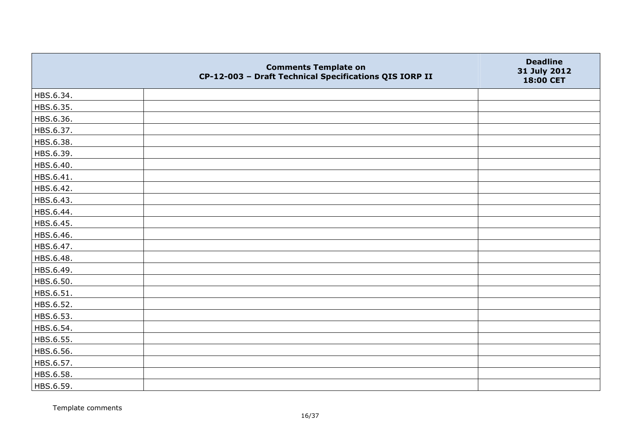|           | <b>Comments Template on</b><br>CP-12-003 - Draft Technical Specifications QIS IORP II | <b>Deadline</b><br>31 July 2012<br>18:00 CET |
|-----------|---------------------------------------------------------------------------------------|----------------------------------------------|
| HBS.6.34. |                                                                                       |                                              |
| HBS.6.35. |                                                                                       |                                              |
| HBS.6.36. |                                                                                       |                                              |
| HBS.6.37. |                                                                                       |                                              |
| HBS.6.38. |                                                                                       |                                              |
| HBS.6.39. |                                                                                       |                                              |
| HBS.6.40. |                                                                                       |                                              |
| HBS.6.41. |                                                                                       |                                              |
| HBS.6.42. |                                                                                       |                                              |
| HBS.6.43. |                                                                                       |                                              |
| HBS.6.44. |                                                                                       |                                              |
| HBS.6.45. |                                                                                       |                                              |
| HBS.6.46. |                                                                                       |                                              |
| HBS.6.47. |                                                                                       |                                              |
| HBS.6.48. |                                                                                       |                                              |
| HBS.6.49. |                                                                                       |                                              |
| HBS.6.50. |                                                                                       |                                              |
| HBS.6.51. |                                                                                       |                                              |
| HBS.6.52. |                                                                                       |                                              |
| HBS.6.53. |                                                                                       |                                              |
| HBS.6.54. |                                                                                       |                                              |
| HBS.6.55. |                                                                                       |                                              |
| HBS.6.56. |                                                                                       |                                              |
| HBS.6.57. |                                                                                       |                                              |
| HBS.6.58. |                                                                                       |                                              |
| HBS.6.59. |                                                                                       |                                              |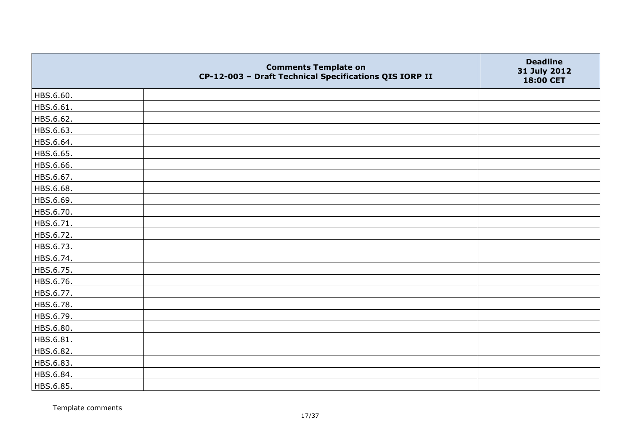|           | <b>Comments Template on</b><br>CP-12-003 - Draft Technical Specifications QIS IORP II | <b>Deadline</b><br>31 July 2012<br>18:00 CET |
|-----------|---------------------------------------------------------------------------------------|----------------------------------------------|
| HBS.6.60. |                                                                                       |                                              |
| HBS.6.61. |                                                                                       |                                              |
| HBS.6.62. |                                                                                       |                                              |
| HBS.6.63. |                                                                                       |                                              |
| HBS.6.64. |                                                                                       |                                              |
| HBS.6.65. |                                                                                       |                                              |
| HBS.6.66. |                                                                                       |                                              |
| HBS.6.67. |                                                                                       |                                              |
| HBS.6.68. |                                                                                       |                                              |
| HBS.6.69. |                                                                                       |                                              |
| HBS.6.70. |                                                                                       |                                              |
| HBS.6.71. |                                                                                       |                                              |
| HBS.6.72. |                                                                                       |                                              |
| HBS.6.73. |                                                                                       |                                              |
| HBS.6.74. |                                                                                       |                                              |
| HBS.6.75. |                                                                                       |                                              |
| HBS.6.76. |                                                                                       |                                              |
| HBS.6.77. |                                                                                       |                                              |
| HBS.6.78. |                                                                                       |                                              |
| HBS.6.79. |                                                                                       |                                              |
| HBS.6.80. |                                                                                       |                                              |
| HBS.6.81. |                                                                                       |                                              |
| HBS.6.82. |                                                                                       |                                              |
| HBS.6.83. |                                                                                       |                                              |
| HBS.6.84. |                                                                                       |                                              |
| HBS.6.85. |                                                                                       |                                              |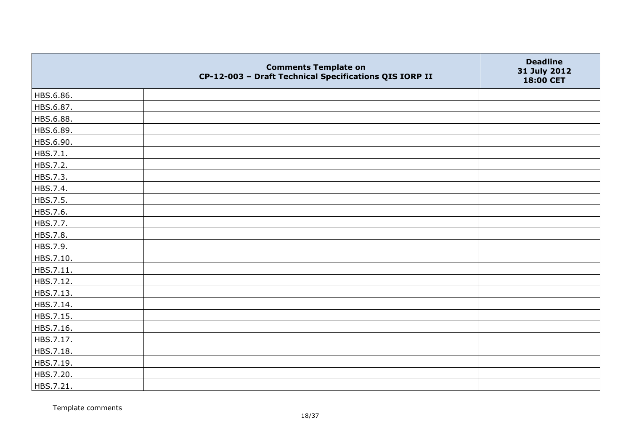|           | <b>Comments Template on</b><br>CP-12-003 - Draft Technical Specifications QIS IORP II | <b>Deadline</b><br>31 July 2012<br>18:00 CET |
|-----------|---------------------------------------------------------------------------------------|----------------------------------------------|
| HBS.6.86. |                                                                                       |                                              |
| HBS.6.87. |                                                                                       |                                              |
| HBS.6.88. |                                                                                       |                                              |
| HBS.6.89. |                                                                                       |                                              |
| HBS.6.90. |                                                                                       |                                              |
| HBS.7.1.  |                                                                                       |                                              |
| HBS.7.2.  |                                                                                       |                                              |
| HBS.7.3.  |                                                                                       |                                              |
| HBS.7.4.  |                                                                                       |                                              |
| HBS.7.5.  |                                                                                       |                                              |
| HBS.7.6.  |                                                                                       |                                              |
| HBS.7.7.  |                                                                                       |                                              |
| HBS.7.8.  |                                                                                       |                                              |
| HBS.7.9.  |                                                                                       |                                              |
| HBS.7.10. |                                                                                       |                                              |
| HBS.7.11. |                                                                                       |                                              |
| HBS.7.12. |                                                                                       |                                              |
| HBS.7.13. |                                                                                       |                                              |
| HBS.7.14. |                                                                                       |                                              |
| HBS.7.15. |                                                                                       |                                              |
| HBS.7.16. |                                                                                       |                                              |
| HBS.7.17. |                                                                                       |                                              |
| HBS.7.18. |                                                                                       |                                              |
| HBS.7.19. |                                                                                       |                                              |
| HBS.7.20. |                                                                                       |                                              |
| HBS.7.21. |                                                                                       |                                              |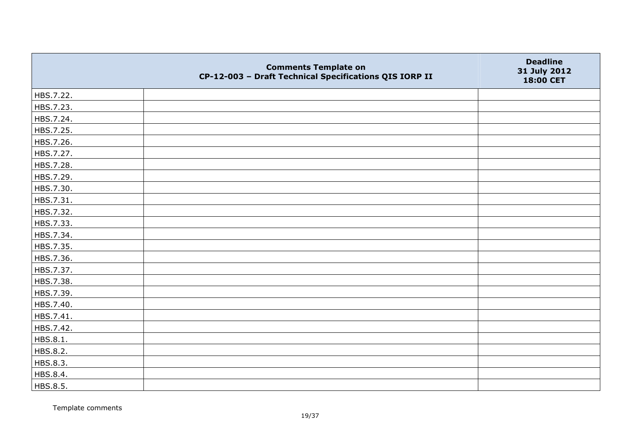|           | <b>Comments Template on</b><br>CP-12-003 - Draft Technical Specifications QIS IORP II | <b>Deadline</b><br>31 July 2012<br>18:00 CET |
|-----------|---------------------------------------------------------------------------------------|----------------------------------------------|
| HBS.7.22. |                                                                                       |                                              |
| HBS.7.23. |                                                                                       |                                              |
| HBS.7.24. |                                                                                       |                                              |
| HBS.7.25. |                                                                                       |                                              |
| HBS.7.26. |                                                                                       |                                              |
| HBS.7.27. |                                                                                       |                                              |
| HBS.7.28. |                                                                                       |                                              |
| HBS.7.29. |                                                                                       |                                              |
| HBS.7.30. |                                                                                       |                                              |
| HBS.7.31. |                                                                                       |                                              |
| HBS.7.32. |                                                                                       |                                              |
| HBS.7.33. |                                                                                       |                                              |
| HBS.7.34. |                                                                                       |                                              |
| HBS.7.35. |                                                                                       |                                              |
| HBS.7.36. |                                                                                       |                                              |
| HBS.7.37. |                                                                                       |                                              |
| HBS.7.38. |                                                                                       |                                              |
| HBS.7.39. |                                                                                       |                                              |
| HBS.7.40. |                                                                                       |                                              |
| HBS.7.41. |                                                                                       |                                              |
| HBS.7.42. |                                                                                       |                                              |
| HBS.8.1.  |                                                                                       |                                              |
| HBS.8.2.  |                                                                                       |                                              |
| HBS.8.3.  |                                                                                       |                                              |
| HBS.8.4.  |                                                                                       |                                              |
| HBS.8.5.  |                                                                                       |                                              |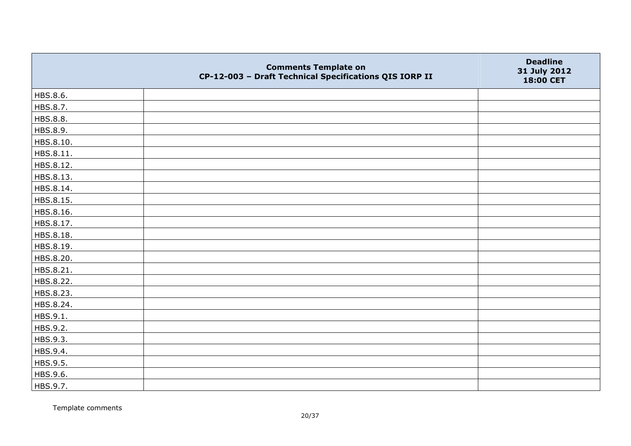|           | <b>Comments Template on</b><br>CP-12-003 - Draft Technical Specifications QIS IORP II | <b>Deadline</b><br>31 July 2012<br>18:00 CET |
|-----------|---------------------------------------------------------------------------------------|----------------------------------------------|
| HBS.8.6.  |                                                                                       |                                              |
| HBS.8.7.  |                                                                                       |                                              |
| HBS.8.8.  |                                                                                       |                                              |
| HBS.8.9.  |                                                                                       |                                              |
| HBS.8.10. |                                                                                       |                                              |
| HBS.8.11. |                                                                                       |                                              |
| HBS.8.12. |                                                                                       |                                              |
| HBS.8.13. |                                                                                       |                                              |
| HBS.8.14. |                                                                                       |                                              |
| HBS.8.15. |                                                                                       |                                              |
| HBS.8.16. |                                                                                       |                                              |
| HBS.8.17. |                                                                                       |                                              |
| HBS.8.18. |                                                                                       |                                              |
| HBS.8.19. |                                                                                       |                                              |
| HBS.8.20. |                                                                                       |                                              |
| HBS.8.21. |                                                                                       |                                              |
| HBS.8.22. |                                                                                       |                                              |
| HBS.8.23. |                                                                                       |                                              |
| HBS.8.24. |                                                                                       |                                              |
| HBS.9.1.  |                                                                                       |                                              |
| HBS.9.2.  |                                                                                       |                                              |
| HBS.9.3.  |                                                                                       |                                              |
| HBS.9.4.  |                                                                                       |                                              |
| HBS.9.5.  |                                                                                       |                                              |
| HBS.9.6.  |                                                                                       |                                              |
| HBS.9.7.  |                                                                                       |                                              |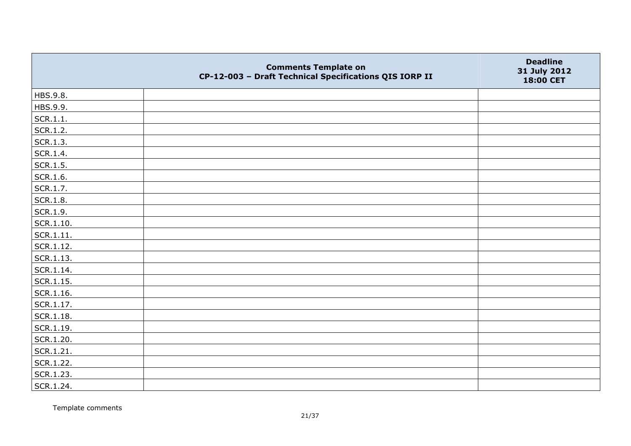|                   | <b>Comments Template on</b><br>CP-12-003 - Draft Technical Specifications QIS IORP II | <b>Deadline</b><br>31 July 2012<br>18:00 CET |
|-------------------|---------------------------------------------------------------------------------------|----------------------------------------------|
| HBS.9.8.          |                                                                                       |                                              |
| HBS.9.9.          |                                                                                       |                                              |
| SCR.1.1.          |                                                                                       |                                              |
| SCR.1.2.          |                                                                                       |                                              |
| SCR.1.3.          |                                                                                       |                                              |
| SCR.1.4.          |                                                                                       |                                              |
| SCR.1.5.          |                                                                                       |                                              |
| SCR.1.6.          |                                                                                       |                                              |
| SCR.1.7.          |                                                                                       |                                              |
| SCR.1.8.          |                                                                                       |                                              |
| SCR.1.9.          |                                                                                       |                                              |
| $ $ SCR.1.10.     |                                                                                       |                                              |
| SCR.1.11.         |                                                                                       |                                              |
| SCR.1.12.         |                                                                                       |                                              |
| SCR.1.13.         |                                                                                       |                                              |
| SCR.1.14.         |                                                                                       |                                              |
| $ $ SCR.1.15.     |                                                                                       |                                              |
| $\vert$ SCR.1.16. |                                                                                       |                                              |
| SCR.1.17.         |                                                                                       |                                              |
| SCR.1.18.         |                                                                                       |                                              |
| SCR.1.19.         |                                                                                       |                                              |
| SCR.1.20.         |                                                                                       |                                              |
| SCR.1.21.         |                                                                                       |                                              |
| SCR.1.22.         |                                                                                       |                                              |
| SCR.1.23.         |                                                                                       |                                              |
| SCR.1.24.         |                                                                                       |                                              |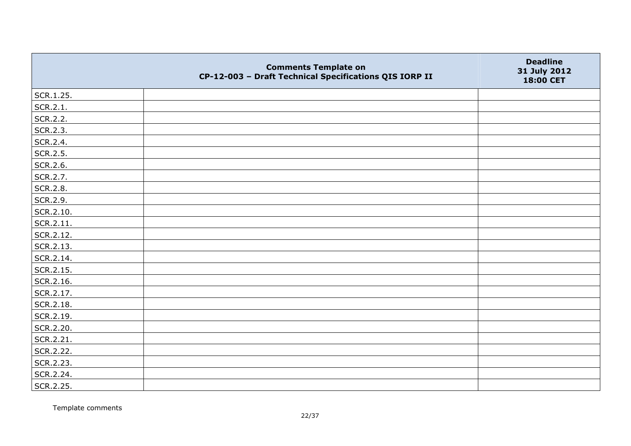|           | <b>Comments Template on</b><br>CP-12-003 - Draft Technical Specifications QIS IORP II | <b>Deadline</b><br>31 July 2012<br>18:00 CET |
|-----------|---------------------------------------------------------------------------------------|----------------------------------------------|
| SCR.1.25. |                                                                                       |                                              |
| SCR.2.1.  |                                                                                       |                                              |
| SCR.2.2.  |                                                                                       |                                              |
| SCR.2.3.  |                                                                                       |                                              |
| SCR.2.4.  |                                                                                       |                                              |
| SCR.2.5.  |                                                                                       |                                              |
| SCR.2.6.  |                                                                                       |                                              |
| SCR.2.7.  |                                                                                       |                                              |
| SCR.2.8.  |                                                                                       |                                              |
| SCR.2.9.  |                                                                                       |                                              |
| SCR.2.10. |                                                                                       |                                              |
| SCR.2.11. |                                                                                       |                                              |
| SCR.2.12. |                                                                                       |                                              |
| SCR.2.13. |                                                                                       |                                              |
| SCR.2.14. |                                                                                       |                                              |
| SCR.2.15. |                                                                                       |                                              |
| SCR.2.16. |                                                                                       |                                              |
| SCR.2.17. |                                                                                       |                                              |
| SCR.2.18. |                                                                                       |                                              |
| SCR.2.19. |                                                                                       |                                              |
| SCR.2.20. |                                                                                       |                                              |
| SCR.2.21. |                                                                                       |                                              |
| SCR.2.22. |                                                                                       |                                              |
| SCR.2.23. |                                                                                       |                                              |
| SCR.2.24. |                                                                                       |                                              |
| SCR.2.25. |                                                                                       |                                              |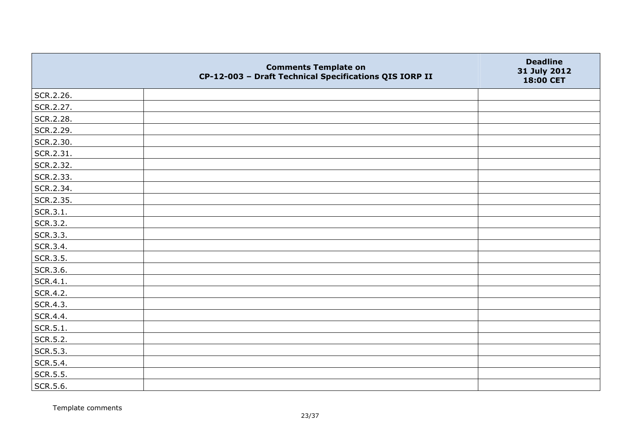|           | <b>Comments Template on</b><br>CP-12-003 - Draft Technical Specifications QIS IORP II | <b>Deadline</b><br>31 July 2012<br>18:00 CET |
|-----------|---------------------------------------------------------------------------------------|----------------------------------------------|
| SCR.2.26. |                                                                                       |                                              |
| SCR.2.27. |                                                                                       |                                              |
| SCR.2.28. |                                                                                       |                                              |
| SCR.2.29. |                                                                                       |                                              |
| SCR.2.30. |                                                                                       |                                              |
| SCR.2.31. |                                                                                       |                                              |
| SCR.2.32. |                                                                                       |                                              |
| SCR.2.33. |                                                                                       |                                              |
| SCR.2.34. |                                                                                       |                                              |
| SCR.2.35. |                                                                                       |                                              |
| SCR.3.1.  |                                                                                       |                                              |
| SCR.3.2.  |                                                                                       |                                              |
| SCR.3.3.  |                                                                                       |                                              |
| SCR.3.4.  |                                                                                       |                                              |
| SCR.3.5.  |                                                                                       |                                              |
| SCR.3.6.  |                                                                                       |                                              |
| SCR.4.1.  |                                                                                       |                                              |
| SCR.4.2.  |                                                                                       |                                              |
| SCR.4.3.  |                                                                                       |                                              |
| SCR.4.4.  |                                                                                       |                                              |
| SCR.5.1.  |                                                                                       |                                              |
| SCR.5.2.  |                                                                                       |                                              |
| SCR.5.3.  |                                                                                       |                                              |
| SCR.5.4.  |                                                                                       |                                              |
| SCR.5.5.  |                                                                                       |                                              |
| SCR.5.6.  |                                                                                       |                                              |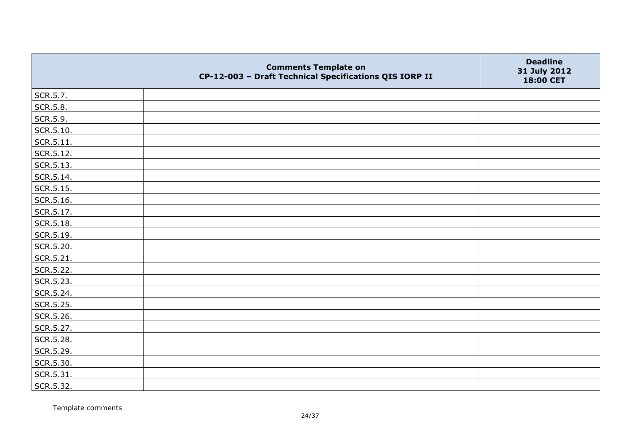|                   | <b>Comments Template on</b><br>CP-12-003 - Draft Technical Specifications QIS IORP II | <b>Deadline</b><br>31 July 2012<br>18:00 CET |
|-------------------|---------------------------------------------------------------------------------------|----------------------------------------------|
| SCR.5.7.          |                                                                                       |                                              |
| SCR.5.8.          |                                                                                       |                                              |
| SCR.5.9.          |                                                                                       |                                              |
| SCR.5.10.         |                                                                                       |                                              |
| $\vert$ SCR.5.11. |                                                                                       |                                              |
| SCR.5.12.         |                                                                                       |                                              |
| SCR.5.13.         |                                                                                       |                                              |
| SCR.5.14.         |                                                                                       |                                              |
| SCR.5.15.         |                                                                                       |                                              |
| SCR.5.16.         |                                                                                       |                                              |
| SCR.5.17.         |                                                                                       |                                              |
| SCR.5.18.         |                                                                                       |                                              |
| SCR.5.19.         |                                                                                       |                                              |
| SCR.5.20.         |                                                                                       |                                              |
| $ $ SCR.5.21.     |                                                                                       |                                              |
| SCR.5.22.         |                                                                                       |                                              |
| SCR.5.23.         |                                                                                       |                                              |
| SCR.5.24.         |                                                                                       |                                              |
| SCR.5.25.         |                                                                                       |                                              |
| SCR.5.26.         |                                                                                       |                                              |
| SCR.5.27.         |                                                                                       |                                              |
| SCR.5.28.         |                                                                                       |                                              |
| SCR.5.29.         |                                                                                       |                                              |
| SCR.5.30.         |                                                                                       |                                              |
| SCR.5.31.         |                                                                                       |                                              |
| SCR.5.32.         |                                                                                       |                                              |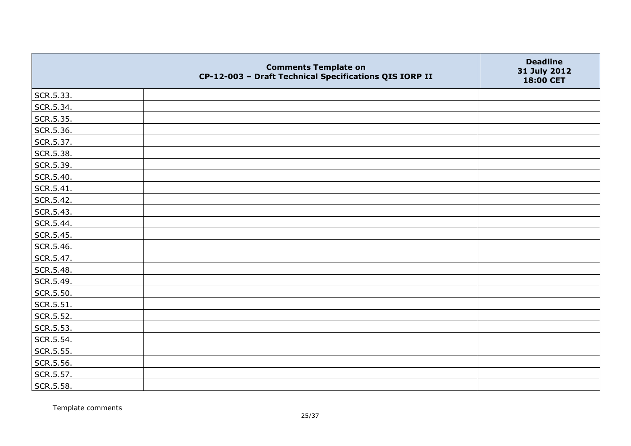|           | <b>Comments Template on</b><br>CP-12-003 - Draft Technical Specifications QIS IORP II | <b>Deadline</b><br>31 July 2012<br>18:00 CET |
|-----------|---------------------------------------------------------------------------------------|----------------------------------------------|
| SCR.5.33. |                                                                                       |                                              |
| SCR.5.34. |                                                                                       |                                              |
| SCR.5.35. |                                                                                       |                                              |
| SCR.5.36. |                                                                                       |                                              |
| SCR.5.37. |                                                                                       |                                              |
| SCR.5.38. |                                                                                       |                                              |
| SCR.5.39. |                                                                                       |                                              |
| SCR.5.40. |                                                                                       |                                              |
| SCR.5.41. |                                                                                       |                                              |
| SCR.5.42. |                                                                                       |                                              |
| SCR.5.43. |                                                                                       |                                              |
| SCR.5.44. |                                                                                       |                                              |
| SCR.5.45. |                                                                                       |                                              |
| SCR.5.46. |                                                                                       |                                              |
| SCR.5.47. |                                                                                       |                                              |
| SCR.5.48. |                                                                                       |                                              |
| SCR.5.49. |                                                                                       |                                              |
| SCR.5.50. |                                                                                       |                                              |
| SCR.5.51. |                                                                                       |                                              |
| SCR.5.52. |                                                                                       |                                              |
| SCR.5.53. |                                                                                       |                                              |
| SCR.5.54. |                                                                                       |                                              |
| SCR.5.55. |                                                                                       |                                              |
| SCR.5.56. |                                                                                       |                                              |
| SCR.5.57. |                                                                                       |                                              |
| SCR.5.58. |                                                                                       |                                              |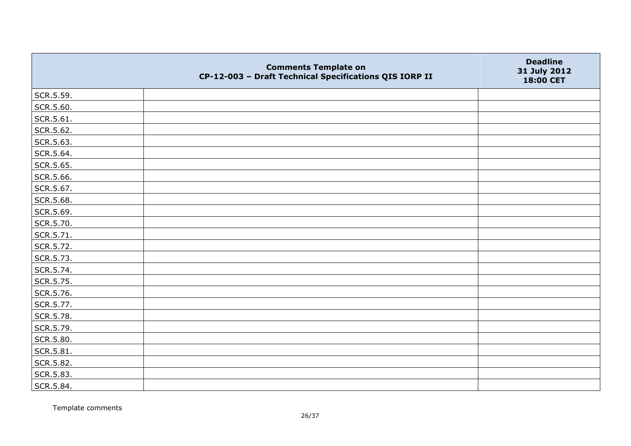|               | <b>Comments Template on</b><br>CP-12-003 - Draft Technical Specifications QIS IORP II | <b>Deadline</b><br>31 July 2012<br>18:00 CET |
|---------------|---------------------------------------------------------------------------------------|----------------------------------------------|
| SCR.5.59.     |                                                                                       |                                              |
| SCR.5.60.     |                                                                                       |                                              |
| $ $ SCR.5.61. |                                                                                       |                                              |
| SCR.5.62.     |                                                                                       |                                              |
| SCR.5.63.     |                                                                                       |                                              |
| SCR.5.64.     |                                                                                       |                                              |
| SCR.5.65.     |                                                                                       |                                              |
| SCR.5.66.     |                                                                                       |                                              |
| SCR.5.67.     |                                                                                       |                                              |
| SCR.5.68.     |                                                                                       |                                              |
| SCR.5.69.     |                                                                                       |                                              |
| SCR.5.70.     |                                                                                       |                                              |
| SCR.5.71.     |                                                                                       |                                              |
| SCR.5.72.     |                                                                                       |                                              |
| SCR.5.73.     |                                                                                       |                                              |
| SCR.5.74.     |                                                                                       |                                              |
| SCR.5.75.     |                                                                                       |                                              |
| SCR.5.76.     |                                                                                       |                                              |
| SCR.5.77.     |                                                                                       |                                              |
| SCR.5.78.     |                                                                                       |                                              |
| SCR.5.79.     |                                                                                       |                                              |
| SCR.5.80.     |                                                                                       |                                              |
| SCR.5.81.     |                                                                                       |                                              |
| SCR.5.82.     |                                                                                       |                                              |
| SCR.5.83.     |                                                                                       |                                              |
| SCR.5.84.     |                                                                                       |                                              |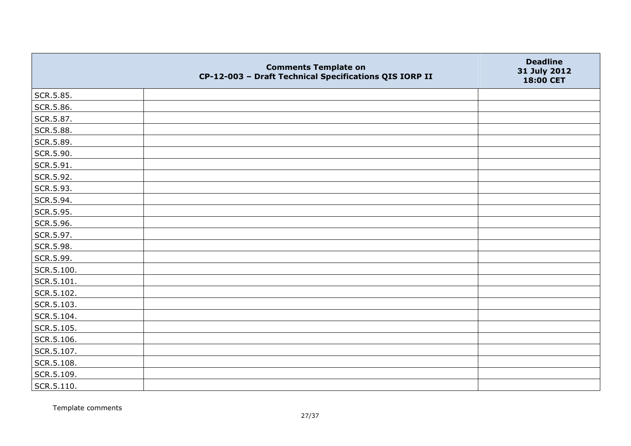|            | <b>Comments Template on</b><br>CP-12-003 - Draft Technical Specifications QIS IORP II | <b>Deadline</b><br>31 July 2012<br>18:00 CET |
|------------|---------------------------------------------------------------------------------------|----------------------------------------------|
| SCR.5.85.  |                                                                                       |                                              |
| SCR.5.86.  |                                                                                       |                                              |
| SCR.5.87.  |                                                                                       |                                              |
| SCR.5.88.  |                                                                                       |                                              |
| SCR.5.89.  |                                                                                       |                                              |
| SCR.5.90.  |                                                                                       |                                              |
| SCR.5.91.  |                                                                                       |                                              |
| SCR.5.92.  |                                                                                       |                                              |
| SCR.5.93.  |                                                                                       |                                              |
| SCR.5.94.  |                                                                                       |                                              |
| SCR.5.95.  |                                                                                       |                                              |
| SCR.5.96.  |                                                                                       |                                              |
| SCR.5.97.  |                                                                                       |                                              |
| SCR.5.98.  |                                                                                       |                                              |
| SCR.5.99.  |                                                                                       |                                              |
| SCR.5.100. |                                                                                       |                                              |
| SCR.5.101. |                                                                                       |                                              |
| SCR.5.102. |                                                                                       |                                              |
| SCR.5.103. |                                                                                       |                                              |
| SCR.5.104. |                                                                                       |                                              |
| SCR.5.105. |                                                                                       |                                              |
| SCR.5.106. |                                                                                       |                                              |
| SCR.5.107. |                                                                                       |                                              |
| SCR.5.108. |                                                                                       |                                              |
| SCR.5.109. |                                                                                       |                                              |
| SCR.5.110. |                                                                                       |                                              |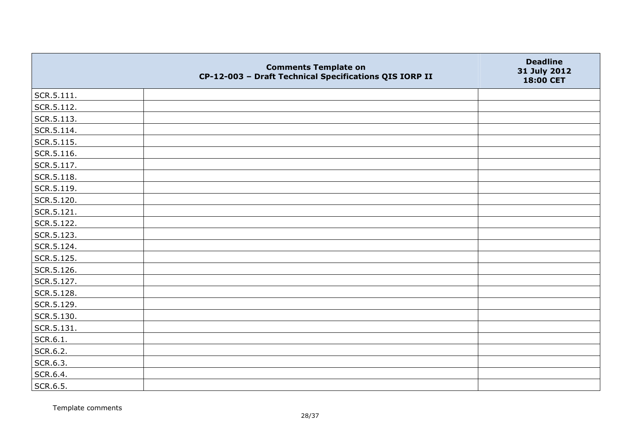|                | <b>Comments Template on</b><br>CP-12-003 - Draft Technical Specifications QIS IORP II | <b>Deadline</b><br>31 July 2012<br>18:00 CET |
|----------------|---------------------------------------------------------------------------------------|----------------------------------------------|
| $ $ SCR.5.111. |                                                                                       |                                              |
| SCR.5.112.     |                                                                                       |                                              |
| SCR.5.113.     |                                                                                       |                                              |
| SCR.5.114.     |                                                                                       |                                              |
| SCR.5.115.     |                                                                                       |                                              |
| SCR.5.116.     |                                                                                       |                                              |
| SCR.5.117.     |                                                                                       |                                              |
| $ $ SCR.5.118. |                                                                                       |                                              |
| SCR.5.119.     |                                                                                       |                                              |
| SCR.5.120.     |                                                                                       |                                              |
| SCR.5.121.     |                                                                                       |                                              |
| SCR.5.122.     |                                                                                       |                                              |
| SCR.5.123.     |                                                                                       |                                              |
| SCR.5.124.     |                                                                                       |                                              |
| SCR.5.125.     |                                                                                       |                                              |
| SCR.5.126.     |                                                                                       |                                              |
| SCR.5.127.     |                                                                                       |                                              |
| SCR.5.128.     |                                                                                       |                                              |
| SCR.5.129.     |                                                                                       |                                              |
| SCR.5.130.     |                                                                                       |                                              |
| SCR.5.131.     |                                                                                       |                                              |
| SCR.6.1.       |                                                                                       |                                              |
| SCR.6.2.       |                                                                                       |                                              |
| SCR.6.3.       |                                                                                       |                                              |
| SCR.6.4.       |                                                                                       |                                              |
| SCR.6.5.       |                                                                                       |                                              |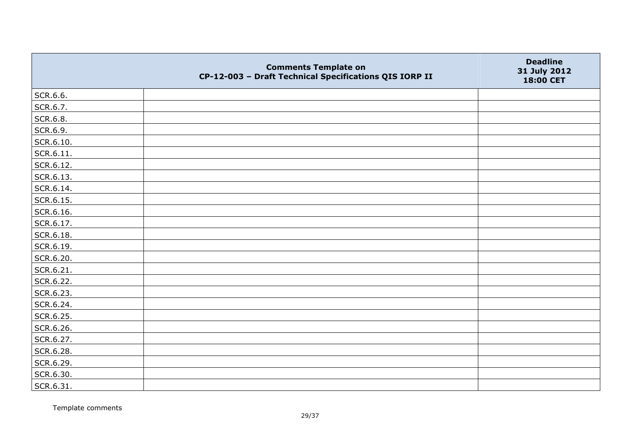|                   | <b>Comments Template on</b><br>CP-12-003 - Draft Technical Specifications QIS IORP II | <b>Deadline</b><br>31 July 2012<br>18:00 CET |
|-------------------|---------------------------------------------------------------------------------------|----------------------------------------------|
| SCR.6.6.          |                                                                                       |                                              |
| SCR.6.7.          |                                                                                       |                                              |
| SCR.6.8.          |                                                                                       |                                              |
| SCR.6.9.          |                                                                                       |                                              |
| SCR.6.10.         |                                                                                       |                                              |
| $\vert$ SCR.6.11. |                                                                                       |                                              |
| SCR.6.12.         |                                                                                       |                                              |
| SCR.6.13.         |                                                                                       |                                              |
| SCR.6.14.         |                                                                                       |                                              |
| SCR.6.15.         |                                                                                       |                                              |
| SCR.6.16.         |                                                                                       |                                              |
| SCR.6.17.         |                                                                                       |                                              |
| SCR.6.18.         |                                                                                       |                                              |
| SCR.6.19.         |                                                                                       |                                              |
| SCR.6.20.         |                                                                                       |                                              |
| SCR.6.21.         |                                                                                       |                                              |
| SCR.6.22.         |                                                                                       |                                              |
| SCR.6.23.         |                                                                                       |                                              |
| SCR.6.24.         |                                                                                       |                                              |
| SCR.6.25.         |                                                                                       |                                              |
| SCR.6.26.         |                                                                                       |                                              |
| SCR.6.27.         |                                                                                       |                                              |
| SCR.6.28.         |                                                                                       |                                              |
| SCR.6.29.         |                                                                                       |                                              |
| SCR.6.30.         |                                                                                       |                                              |
| SCR.6.31.         |                                                                                       |                                              |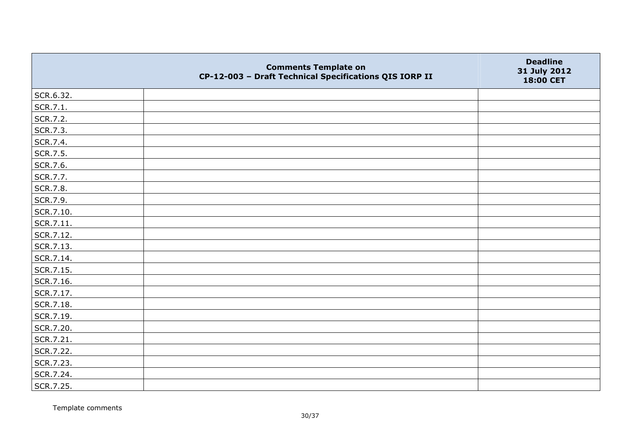|           | <b>Comments Template on</b><br>CP-12-003 - Draft Technical Specifications QIS IORP II | <b>Deadline</b><br>31 July 2012<br>18:00 CET |
|-----------|---------------------------------------------------------------------------------------|----------------------------------------------|
| SCR.6.32. |                                                                                       |                                              |
| SCR.7.1.  |                                                                                       |                                              |
| SCR.7.2.  |                                                                                       |                                              |
| SCR.7.3.  |                                                                                       |                                              |
| SCR.7.4.  |                                                                                       |                                              |
| SCR.7.5.  |                                                                                       |                                              |
| SCR.7.6.  |                                                                                       |                                              |
| SCR.7.7.  |                                                                                       |                                              |
| SCR.7.8.  |                                                                                       |                                              |
| SCR.7.9.  |                                                                                       |                                              |
| SCR.7.10. |                                                                                       |                                              |
| SCR.7.11. |                                                                                       |                                              |
| SCR.7.12. |                                                                                       |                                              |
| SCR.7.13. |                                                                                       |                                              |
| SCR.7.14. |                                                                                       |                                              |
| SCR.7.15. |                                                                                       |                                              |
| SCR.7.16. |                                                                                       |                                              |
| SCR.7.17. |                                                                                       |                                              |
| SCR.7.18. |                                                                                       |                                              |
| SCR.7.19. |                                                                                       |                                              |
| SCR.7.20. |                                                                                       |                                              |
| SCR.7.21. |                                                                                       |                                              |
| SCR.7.22. |                                                                                       |                                              |
| SCR.7.23. |                                                                                       |                                              |
| SCR.7.24. |                                                                                       |                                              |
| SCR.7.25. |                                                                                       |                                              |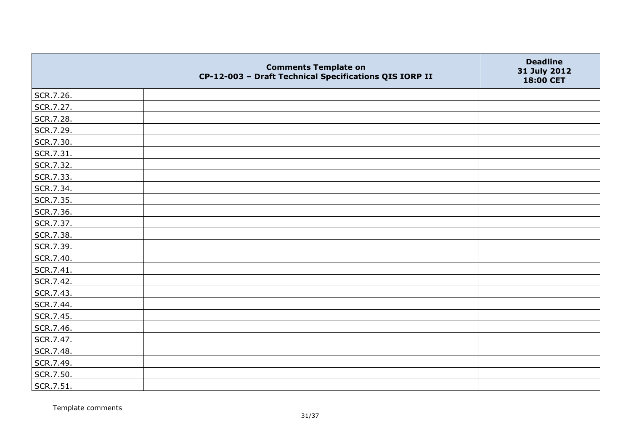|           | <b>Comments Template on</b><br>CP-12-003 - Draft Technical Specifications QIS IORP II | <b>Deadline</b><br>31 July 2012<br>18:00 CET |
|-----------|---------------------------------------------------------------------------------------|----------------------------------------------|
| SCR.7.26. |                                                                                       |                                              |
| SCR.7.27. |                                                                                       |                                              |
| SCR.7.28. |                                                                                       |                                              |
| SCR.7.29. |                                                                                       |                                              |
| SCR.7.30. |                                                                                       |                                              |
| SCR.7.31. |                                                                                       |                                              |
| SCR.7.32. |                                                                                       |                                              |
| SCR.7.33. |                                                                                       |                                              |
| SCR.7.34. |                                                                                       |                                              |
| SCR.7.35. |                                                                                       |                                              |
| SCR.7.36. |                                                                                       |                                              |
| SCR.7.37. |                                                                                       |                                              |
| SCR.7.38. |                                                                                       |                                              |
| SCR.7.39. |                                                                                       |                                              |
| SCR.7.40. |                                                                                       |                                              |
| SCR.7.41. |                                                                                       |                                              |
| SCR.7.42. |                                                                                       |                                              |
| SCR.7.43. |                                                                                       |                                              |
| SCR.7.44. |                                                                                       |                                              |
| SCR.7.45. |                                                                                       |                                              |
| SCR.7.46. |                                                                                       |                                              |
| SCR.7.47. |                                                                                       |                                              |
| SCR.7.48. |                                                                                       |                                              |
| SCR.7.49. |                                                                                       |                                              |
| SCR.7.50. |                                                                                       |                                              |
| SCR.7.51. |                                                                                       |                                              |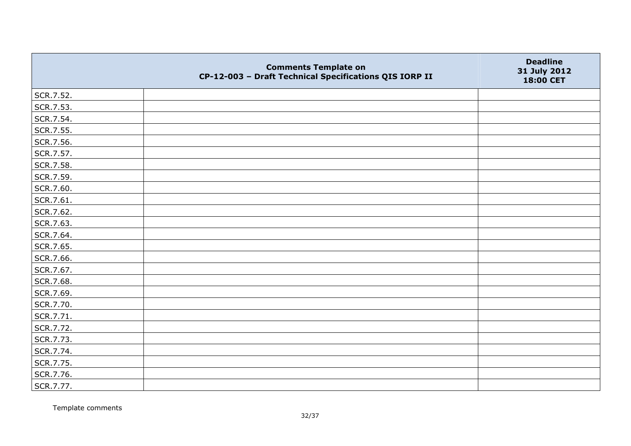|           | <b>Comments Template on</b><br>CP-12-003 - Draft Technical Specifications QIS IORP II | <b>Deadline</b><br>31 July 2012<br>18:00 CET |
|-----------|---------------------------------------------------------------------------------------|----------------------------------------------|
| SCR.7.52. |                                                                                       |                                              |
| SCR.7.53. |                                                                                       |                                              |
| SCR.7.54. |                                                                                       |                                              |
| SCR.7.55. |                                                                                       |                                              |
| SCR.7.56. |                                                                                       |                                              |
| SCR.7.57. |                                                                                       |                                              |
| SCR.7.58. |                                                                                       |                                              |
| SCR.7.59. |                                                                                       |                                              |
| SCR.7.60. |                                                                                       |                                              |
| SCR.7.61. |                                                                                       |                                              |
| SCR.7.62. |                                                                                       |                                              |
| SCR.7.63. |                                                                                       |                                              |
| SCR.7.64. |                                                                                       |                                              |
| SCR.7.65. |                                                                                       |                                              |
| SCR.7.66. |                                                                                       |                                              |
| SCR.7.67. |                                                                                       |                                              |
| SCR.7.68. |                                                                                       |                                              |
| SCR.7.69. |                                                                                       |                                              |
| SCR.7.70. |                                                                                       |                                              |
| SCR.7.71. |                                                                                       |                                              |
| SCR.7.72. |                                                                                       |                                              |
| SCR.7.73. |                                                                                       |                                              |
| SCR.7.74. |                                                                                       |                                              |
| SCR.7.75. |                                                                                       |                                              |
| SCR.7.76. |                                                                                       |                                              |
| SCR.7.77. |                                                                                       |                                              |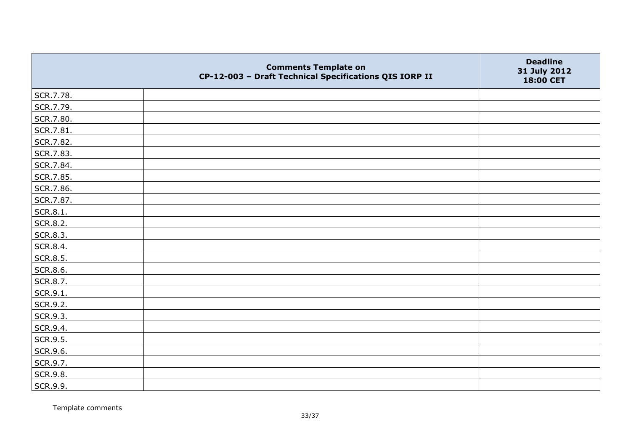|           | <b>Comments Template on</b><br>CP-12-003 - Draft Technical Specifications QIS IORP II | <b>Deadline</b><br>31 July 2012<br>18:00 CET |
|-----------|---------------------------------------------------------------------------------------|----------------------------------------------|
| SCR.7.78. |                                                                                       |                                              |
| SCR.7.79. |                                                                                       |                                              |
| SCR.7.80. |                                                                                       |                                              |
| SCR.7.81. |                                                                                       |                                              |
| SCR.7.82. |                                                                                       |                                              |
| SCR.7.83. |                                                                                       |                                              |
| SCR.7.84. |                                                                                       |                                              |
| SCR.7.85. |                                                                                       |                                              |
| SCR.7.86. |                                                                                       |                                              |
| SCR.7.87. |                                                                                       |                                              |
| SCR.8.1.  |                                                                                       |                                              |
| SCR.8.2.  |                                                                                       |                                              |
| SCR.8.3.  |                                                                                       |                                              |
| SCR.8.4.  |                                                                                       |                                              |
| SCR.8.5.  |                                                                                       |                                              |
| SCR.8.6.  |                                                                                       |                                              |
| SCR.8.7.  |                                                                                       |                                              |
| SCR.9.1.  |                                                                                       |                                              |
| SCR.9.2.  |                                                                                       |                                              |
| SCR.9.3.  |                                                                                       |                                              |
| SCR.9.4.  |                                                                                       |                                              |
| SCR.9.5.  |                                                                                       |                                              |
| SCR.9.6.  |                                                                                       |                                              |
| SCR.9.7.  |                                                                                       |                                              |
| SCR.9.8.  |                                                                                       |                                              |
| SCR.9.9.  |                                                                                       |                                              |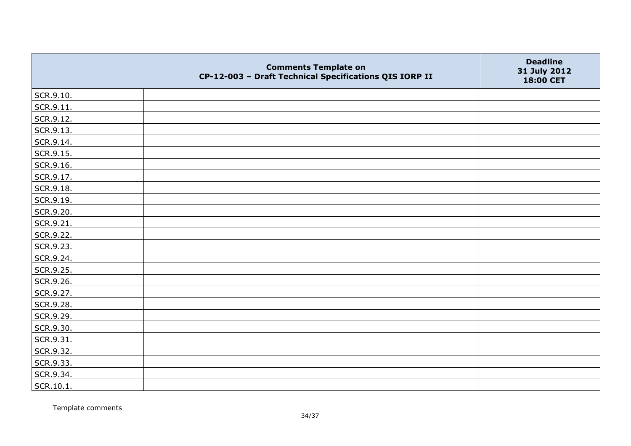|           | <b>Comments Template on</b><br>CP-12-003 - Draft Technical Specifications QIS IORP II | <b>Deadline</b><br>31 July 2012<br>18:00 CET |
|-----------|---------------------------------------------------------------------------------------|----------------------------------------------|
| SCR.9.10. |                                                                                       |                                              |
| SCR.9.11. |                                                                                       |                                              |
| SCR.9.12. |                                                                                       |                                              |
| SCR.9.13. |                                                                                       |                                              |
| SCR.9.14. |                                                                                       |                                              |
| SCR.9.15. |                                                                                       |                                              |
| SCR.9.16. |                                                                                       |                                              |
| SCR.9.17. |                                                                                       |                                              |
| SCR.9.18. |                                                                                       |                                              |
| SCR.9.19. |                                                                                       |                                              |
| SCR.9.20. |                                                                                       |                                              |
| SCR.9.21. |                                                                                       |                                              |
| SCR.9.22. |                                                                                       |                                              |
| SCR.9.23. |                                                                                       |                                              |
| SCR.9.24. |                                                                                       |                                              |
| SCR.9.25. |                                                                                       |                                              |
| SCR.9.26. |                                                                                       |                                              |
| SCR.9.27. |                                                                                       |                                              |
| SCR.9.28. |                                                                                       |                                              |
| SCR.9.29. |                                                                                       |                                              |
| SCR.9.30. |                                                                                       |                                              |
| SCR.9.31. |                                                                                       |                                              |
| SCR.9.32. |                                                                                       |                                              |
| SCR.9.33. |                                                                                       |                                              |
| SCR.9.34. |                                                                                       |                                              |
| SCR.10.1. |                                                                                       |                                              |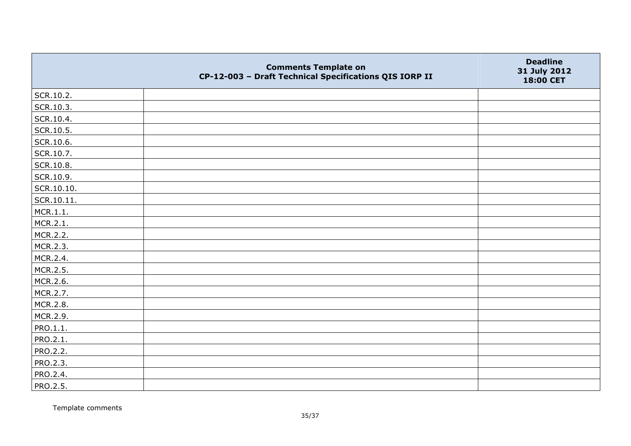|            | <b>Comments Template on</b><br>CP-12-003 - Draft Technical Specifications QIS IORP II | <b>Deadline</b><br>31 July 2012<br>18:00 CET |
|------------|---------------------------------------------------------------------------------------|----------------------------------------------|
| SCR.10.2.  |                                                                                       |                                              |
| SCR.10.3.  |                                                                                       |                                              |
| SCR.10.4.  |                                                                                       |                                              |
| SCR.10.5.  |                                                                                       |                                              |
| SCR.10.6.  |                                                                                       |                                              |
| SCR.10.7.  |                                                                                       |                                              |
| SCR.10.8.  |                                                                                       |                                              |
| SCR.10.9.  |                                                                                       |                                              |
| SCR.10.10. |                                                                                       |                                              |
| SCR.10.11. |                                                                                       |                                              |
| MCR.1.1.   |                                                                                       |                                              |
| MCR.2.1.   |                                                                                       |                                              |
| MCR.2.2.   |                                                                                       |                                              |
| MCR.2.3.   |                                                                                       |                                              |
| MCR.2.4.   |                                                                                       |                                              |
| MCR.2.5.   |                                                                                       |                                              |
| MCR.2.6.   |                                                                                       |                                              |
| MCR.2.7.   |                                                                                       |                                              |
| MCR.2.8.   |                                                                                       |                                              |
| MCR.2.9.   |                                                                                       |                                              |
| PRO.1.1.   |                                                                                       |                                              |
| PRO.2.1.   |                                                                                       |                                              |
| PRO.2.2.   |                                                                                       |                                              |
| PRO.2.3.   |                                                                                       |                                              |
| PRO.2.4.   |                                                                                       |                                              |
| PRO.2.5.   |                                                                                       |                                              |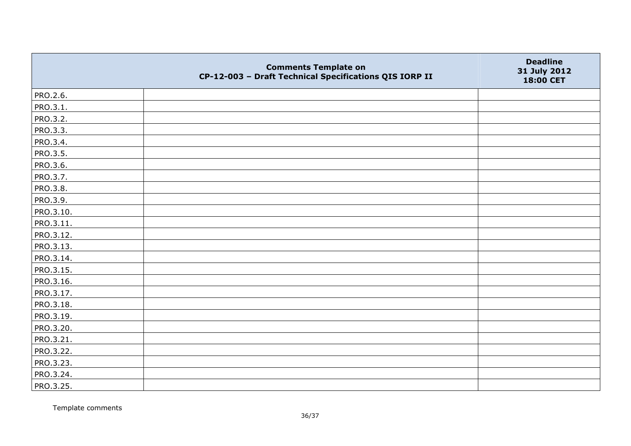|           | <b>Comments Template on</b><br>CP-12-003 - Draft Technical Specifications QIS IORP II | <b>Deadline</b><br>31 July 2012<br>18:00 CET |
|-----------|---------------------------------------------------------------------------------------|----------------------------------------------|
| PRO.2.6.  |                                                                                       |                                              |
| PRO.3.1.  |                                                                                       |                                              |
| PRO.3.2.  |                                                                                       |                                              |
| PRO.3.3.  |                                                                                       |                                              |
| PRO.3.4.  |                                                                                       |                                              |
| PRO.3.5.  |                                                                                       |                                              |
| PRO.3.6.  |                                                                                       |                                              |
| PRO.3.7.  |                                                                                       |                                              |
| PRO.3.8.  |                                                                                       |                                              |
| PRO.3.9.  |                                                                                       |                                              |
| PRO.3.10. |                                                                                       |                                              |
| PRO.3.11. |                                                                                       |                                              |
| PRO.3.12. |                                                                                       |                                              |
| PRO.3.13. |                                                                                       |                                              |
| PRO.3.14. |                                                                                       |                                              |
| PRO.3.15. |                                                                                       |                                              |
| PRO.3.16. |                                                                                       |                                              |
| PRO.3.17. |                                                                                       |                                              |
| PRO.3.18. |                                                                                       |                                              |
| PRO.3.19. |                                                                                       |                                              |
| PRO.3.20. |                                                                                       |                                              |
| PRO.3.21. |                                                                                       |                                              |
| PRO.3.22. |                                                                                       |                                              |
| PRO.3.23. |                                                                                       |                                              |
| PRO.3.24. |                                                                                       |                                              |
| PRO.3.25. |                                                                                       |                                              |